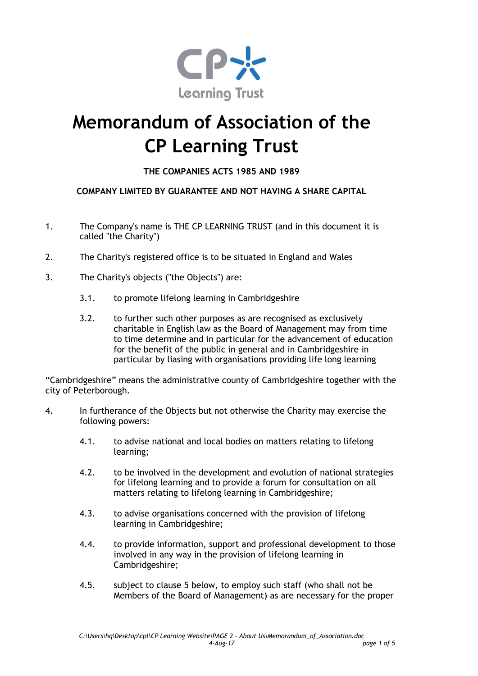

## **Memorandum of Association of the CP Learning Trust**

## **THE COMPANIES ACTS 1985 AND 1989**

## **COMPANY LIMITED BY GUARANTEE AND NOT HAVING A SHARE CAPITAL**

- 1. The Company's name is THE CP LEARNING TRUST (and in this document it is called "the Charity")
- 2. The Charity's registered office is to be situated in England and Wales
- 3. The Charity's objects ("the Objects") are:
	- 3.1. to promote lifelong learning in Cambridgeshire
	- 3.2. to further such other purposes as are recognised as exclusively charitable in English law as the Board of Management may from time to time determine and in particular for the advancement of education for the benefit of the public in general and in Cambridgeshire in particular by liasing with organisations providing life long learning

"Cambridgeshire" means the administrative county of Cambridgeshire together with the city of Peterborough.

- 4. In furtherance of the Objects but not otherwise the Charity may exercise the following powers:
	- 4.1. to advise national and local bodies on matters relating to lifelong learning;
	- 4.2. to be involved in the development and evolution of national strategies for lifelong learning and to provide a forum for consultation on all matters relating to lifelong learning in Cambridgeshire;
	- 4.3. to advise organisations concerned with the provision of lifelong learning in Cambridgeshire;
	- 4.4. to provide information, support and professional development to those involved in any way in the provision of lifelong learning in Cambridgeshire;
	- 4.5. subject to clause 5 below, to employ such staff (who shall not be Members of the Board of Management) as are necessary for the proper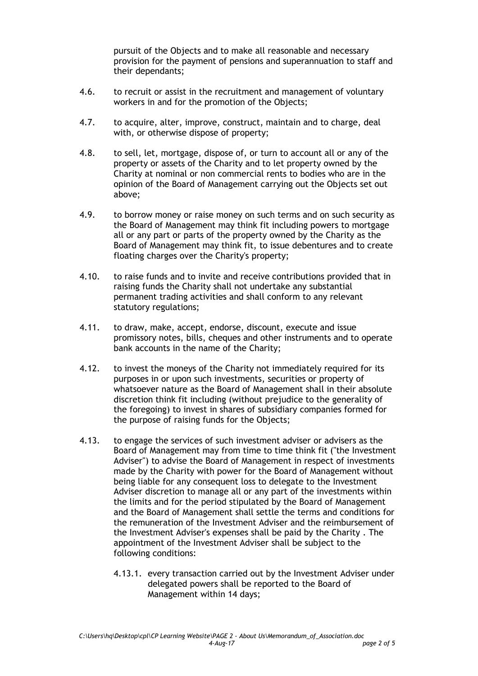pursuit of the Objects and to make all reasonable and necessary provision for the payment of pensions and superannuation to staff and their dependants;

- 4.6. to recruit or assist in the recruitment and management of voluntary workers in and for the promotion of the Objects;
- 4.7. to acquire, alter, improve, construct, maintain and to charge, deal with, or otherwise dispose of property;
- 4.8. to sell, let, mortgage, dispose of, or turn to account all or any of the property or assets of the Charity and to let property owned by the Charity at nominal or non commercial rents to bodies who are in the opinion of the Board of Management carrying out the Objects set out above;
- 4.9. to borrow money or raise money on such terms and on such security as the Board of Management may think fit including powers to mortgage all or any part or parts of the property owned by the Charity as the Board of Management may think fit, to issue debentures and to create floating charges over the Charity's property;
- 4.10. to raise funds and to invite and receive contributions provided that in raising funds the Charity shall not undertake any substantial permanent trading activities and shall conform to any relevant statutory regulations;
- 4.11. to draw, make, accept, endorse, discount, execute and issue promissory notes, bills, cheques and other instruments and to operate bank accounts in the name of the Charity;
- 4.12. to invest the moneys of the Charity not immediately required for its purposes in or upon such investments, securities or property of whatsoever nature as the Board of Management shall in their absolute discretion think fit including (without prejudice to the generality of the foregoing) to invest in shares of subsidiary companies formed for the purpose of raising funds for the Objects;
- 4.13. to engage the services of such investment adviser or advisers as the Board of Management may from time to time think fit ("the Investment Adviser") to advise the Board of Management in respect of investments made by the Charity with power for the Board of Management without being liable for any consequent loss to delegate to the Investment Adviser discretion to manage all or any part of the investments within the limits and for the period stipulated by the Board of Management and the Board of Management shall settle the terms and conditions for the remuneration of the Investment Adviser and the reimbursement of the Investment Adviser's expenses shall be paid by the Charity . The appointment of the Investment Adviser shall be subject to the following conditions:
	- 4.13.1. every transaction carried out by the Investment Adviser under delegated powers shall be reported to the Board of Management within 14 days;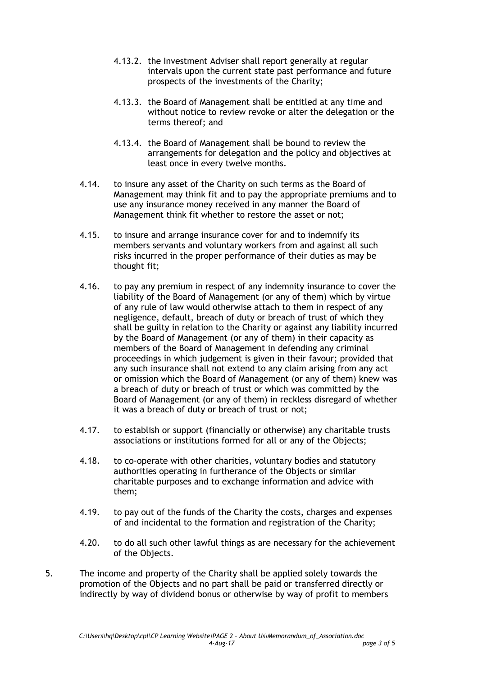- 4.13.2. the Investment Adviser shall report generally at regular intervals upon the current state past performance and future prospects of the investments of the Charity;
- 4.13.3. the Board of Management shall be entitled at any time and without notice to review revoke or alter the delegation or the terms thereof; and
- 4.13.4. the Board of Management shall be bound to review the arrangements for delegation and the policy and objectives at least once in every twelve months.
- 4.14. to insure any asset of the Charity on such terms as the Board of Management may think fit and to pay the appropriate premiums and to use any insurance money received in any manner the Board of Management think fit whether to restore the asset or not;
- 4.15. to insure and arrange insurance cover for and to indemnify its members servants and voluntary workers from and against all such risks incurred in the proper performance of their duties as may be thought fit;
- 4.16. to pay any premium in respect of any indemnity insurance to cover the liability of the Board of Management (or any of them) which by virtue of any rule of law would otherwise attach to them in respect of any negligence, default, breach of duty or breach of trust of which they shall be guilty in relation to the Charity or against any liability incurred by the Board of Management (or any of them) in their capacity as members of the Board of Management in defending any criminal proceedings in which judgement is given in their favour; provided that any such insurance shall not extend to any claim arising from any act or omission which the Board of Management (or any of them) knew was a breach of duty or breach of trust or which was committed by the Board of Management (or any of them) in reckless disregard of whether it was a breach of duty or breach of trust or not;
- 4.17. to establish or support (financially or otherwise) any charitable trusts associations or institutions formed for all or any of the Objects;
- 4.18. to co-operate with other charities, voluntary bodies and statutory authorities operating in furtherance of the Objects or similar charitable purposes and to exchange information and advice with them;
- 4.19. to pay out of the funds of the Charity the costs, charges and expenses of and incidental to the formation and registration of the Charity;
- 4.20. to do all such other lawful things as are necessary for the achievement of the Objects.
- 5. The income and property of the Charity shall be applied solely towards the promotion of the Objects and no part shall be paid or transferred directly or indirectly by way of dividend bonus or otherwise by way of profit to members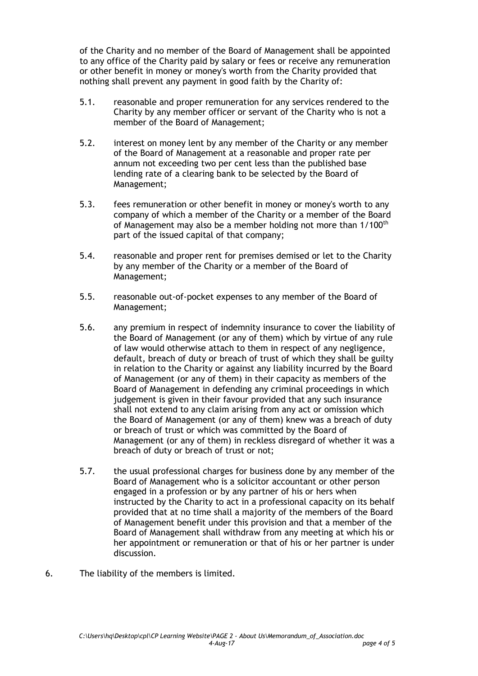of the Charity and no member of the Board of Management shall be appointed to any office of the Charity paid by salary or fees or receive any remuneration or other benefit in money or money's worth from the Charity provided that nothing shall prevent any payment in good faith by the Charity of:

- 5.1. reasonable and proper remuneration for any services rendered to the Charity by any member officer or servant of the Charity who is not a member of the Board of Management;
- 5.2. interest on money lent by any member of the Charity or any member of the Board of Management at a reasonable and proper rate per annum not exceeding two per cent less than the published base lending rate of a clearing bank to be selected by the Board of Management;
- 5.3. fees remuneration or other benefit in money or money's worth to any company of which a member of the Charity or a member of the Board of Management may also be a member holding not more than 1/100<sup>th</sup> part of the issued capital of that company;
- 5.4. reasonable and proper rent for premises demised or let to the Charity by any member of the Charity or a member of the Board of Management;
- 5.5. reasonable out-of-pocket expenses to any member of the Board of Management;
- 5.6. any premium in respect of indemnity insurance to cover the liability of the Board of Management (or any of them) which by virtue of any rule of law would otherwise attach to them in respect of any negligence, default, breach of duty or breach of trust of which they shall be guilty in relation to the Charity or against any liability incurred by the Board of Management (or any of them) in their capacity as members of the Board of Management in defending any criminal proceedings in which judgement is given in their favour provided that any such insurance shall not extend to any claim arising from any act or omission which the Board of Management (or any of them) knew was a breach of duty or breach of trust or which was committed by the Board of Management (or any of them) in reckless disregard of whether it was a breach of duty or breach of trust or not;
- 5.7. the usual professional charges for business done by any member of the Board of Management who is a solicitor accountant or other person engaged in a profession or by any partner of his or hers when instructed by the Charity to act in a professional capacity on its behalf provided that at no time shall a majority of the members of the Board of Management benefit under this provision and that a member of the Board of Management shall withdraw from any meeting at which his or her appointment or remuneration or that of his or her partner is under discussion.
- 6. The liability of the members is limited.